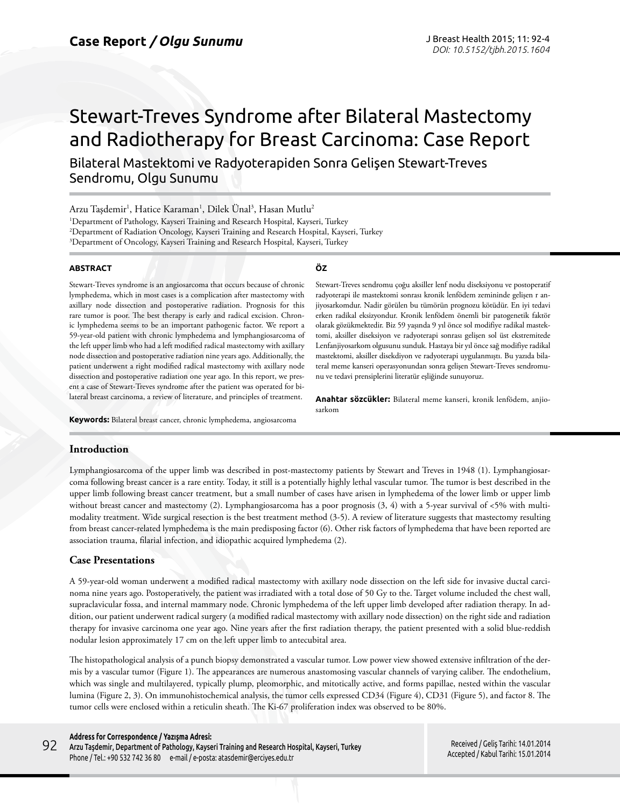# Stewart-Treves Syndrome after Bilateral Mastectomy and Radiotherapy for Breast Carcinoma: Case Report

Bilateral Mastektomi ve Radyoterapiden Sonra Gelişen Stewart-Treves Sendromu, Olgu Sunumu

Arzu Taşdemir<sup>ı</sup>, Hatice Karaman<sup>ı</sup>, Dilek Ünal<sup>3</sup>, Hasan Mutlu<sup>2</sup> 1 Department of Pathology, Kayseri Training and Research Hospital, Kayseri, Turkey 2 Department of Radiation Oncology, Kayseri Training and Research Hospital, Kayseri, Turkey  $^3$ Department of Oncology, Kayseri Training and Research Hospital, Kayseri, Turkey

#### **ABSTRACT**

Stewart-Treves syndrome is an angiosarcoma that occurs because of chronic lymphedema, which in most cases is a complication after mastectomy with axillary node dissection and postoperative radiation. Prognosis for this rare tumor is poor. The best therapy is early and radical excision. Chronic lymphedema seems to be an important pathogenic factor. We report a 59-year-old patient with chronic lymphedema and lymphangiosarcoma of the left upper limb who had a left modified radical mastectomy with axillary node dissection and postoperative radiation nine years ago. Additionally, the patient underwent a right modified radical mastectomy with axillary node dissection and postoperative radiation one year ago. In this report, we present a case of Stewart-Treves syndrome after the patient was operated for bilateral breast carcinoma, a review of literature, and principles of treatment.

**Keywords:** Bilateral breast cancer, chronic lymphedema, angiosarcoma

#### **Introduction**

Lymphangiosarcoma of the upper limb was described in post-mastectomy patients by Stewart and Treves in 1948 (1). Lymphangiosarcoma following breast cancer is a rare entity. Today, it still is a potentially highly lethal vascular tumor. The tumor is best described in the upper limb following breast cancer treatment, but a small number of cases have arisen in lymphedema of the lower limb or upper limb without breast cancer and mastectomy (2). Lymphangiosarcoma has a poor prognosis (3, 4) with a 5-year survival of <5% with multimodality treatment. Wide surgical resection is the best treatment method (3-5). A review of literature suggests that mastectomy resulting from breast cancer-related lymphedema is the main predisposing factor (6). Other risk factors of lymphedema that have been reported are association trauma, filarial infection, and idiopathic acquired lymphedema (2).

## **Case Presentations**

A 59-year-old woman underwent a modified radical mastectomy with axillary node dissection on the left side for invasive ductal carcinoma nine years ago. Postoperatively, the patient was irradiated with a total dose of 50 Gy to the. Target volume included the chest wall, supraclavicular fossa, and internal mammary node. Chronic lymphedema of the left upper limb developed after radiation therapy. In addition, our patient underwent radical surgery (a modified radical mastectomy with axillary node dissection) on the right side and radiation therapy for invasive carcinoma one year ago. Nine years after the first radiation therapy, the patient presented with a solid blue-reddish nodular lesion approximately 17 cm on the left upper limb to antecubital area.

The histopathological analysis of a punch biopsy demonstrated a vascular tumor. Low power view showed extensive infiltration of the dermis by a vascular tumor (Figure 1). The appearances are numerous anastomosing vascular channels of varying caliber. The endothelium, which was single and multilayered, typically plump, pleomorphic, and mitotically active, and forms papillae, nested within the vascular lumina (Figure 2, 3). On immunohistochemical analysis, the tumor cells expressed CD34 (Figure 4), CD31 (Figure 5), and factor 8. The tumor cells were enclosed within a reticulin sheath. The Ki-67 proliferation index was observed to be 80%.

#### **Address for Correspondence / Yazışma Adresi:**

Arzu Taşdemir, Department of Pathology, Kayseri Training and Research Hospital, Kayseri, Turkey Phone / Tel.: +90 532 742 36 80 e-mail / e-posta: atasdemir@erciyes.edu.tr 92

Received / Geliş Tarihi: 14.01.2014 Accepted / Kabul Tarihi: 15.01.2014

#### **ÖZ**

Stewart-Treves sendromu çoğu aksiller lenf nodu diseksiyonu ve postoperatif radyoterapi ile mastektomi sonrası kronik lenfödem zemininde gelişen r anjiyosarkomdur. Nadir görülen bu tümörün prognozu kötüdür. En iyi tedavi erken radikal eksizyondur. Kronik lenfödem önemli bir patogenetik faktör olarak gözükmektedir. Biz 59 yaşında 9 yıl önce sol modifiye radikal mastektomi, aksiller diseksiyon ve radyoterapi sonrası gelişen sol üst ekstremitede Lenfanjiyosarkom olgusunu sunduk. Hastaya bir yıl önce sağ modifiye radikal mastektomi, aksiller disekdiyon ve radyoterapi uygulanmıştı. Bu yazıda bilateral meme kanseri operasyonundan sonra gelişen Stewart-Treves sendromunu ve tedavi prensiplerini literatür eşliğinde sunuyoruz.

**Anahtar sözcükler:** Bilateral meme kanseri, kronik lenfödem, anjiosarkom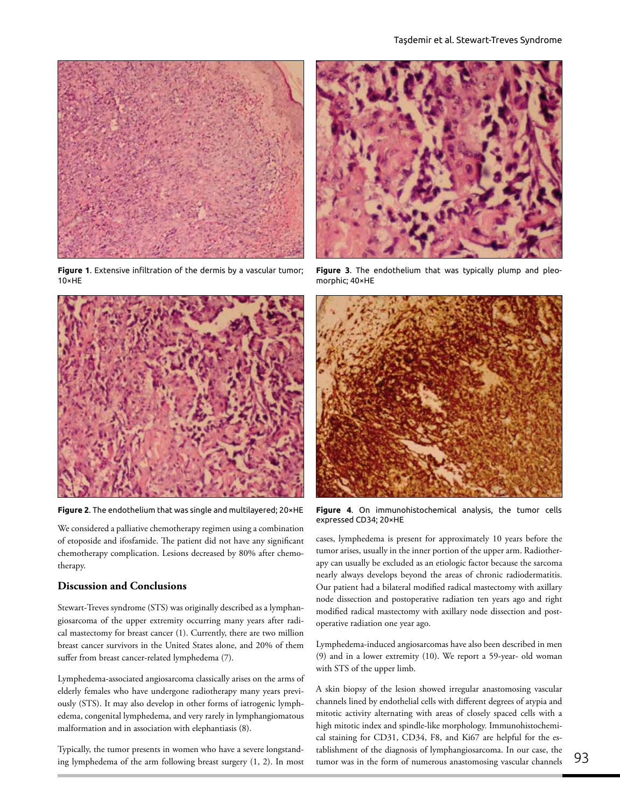

**Figure 1**. Extensive infiltration of the dermis by a vascular tumor; 10×HE



We considered a palliative chemotherapy regimen using a combination of etoposide and ifosfamide. The patient did not have any significant chemotherapy complication. Lesions decreased by 80% after chemotherapy.

## **Discussion and Conclusions**

Stewart-Treves syndrome (STS) was originally described as a lymphangiosarcoma of the upper extremity occurring many years after radical mastectomy for breast cancer (1). Currently, there are two million breast cancer survivors in the United States alone, and 20% of them suffer from breast cancer-related lymphedema (7).

Lymphedema-associated angiosarcoma classically arises on the arms of elderly females who have undergone radiotherapy many years previously (STS). It may also develop in other forms of iatrogenic lymphedema, congenital lymphedema, and very rarely in lymphangiomatous malformation and in association with elephantiasis (8).

Typically, the tumor presents in women who have a severe longstanding lymphedema of the arm following breast surgery (1, 2). In most



**Figure 3**. The endothelium that was typically plump and pleomorphic; 40×HE



**Figure 2**. The endothelium that was single and multilayered; 20×HE **Figure 4**. On immunohistochemical analysis, the tumor cells expressed CD34; 20×HE

cases, lymphedema is present for approximately 10 years before the tumor arises, usually in the inner portion of the upper arm. Radiotherapy can usually be excluded as an etiologic factor because the sarcoma nearly always develops beyond the areas of chronic radiodermatitis. Our patient had a bilateral modified radical mastectomy with axillary node dissection and postoperative radiation ten years ago and right modified radical mastectomy with axillary node dissection and postoperative radiation one year ago.

Lymphedema-induced angiosarcomas have also been described in men (9) and in a lower extremity (10). We report a 59-year- old woman with STS of the upper limb.

A skin biopsy of the lesion showed irregular anastomosing vascular channels lined by endothelial cells with different degrees of atypia and mitotic activity alternating with areas of closely spaced cells with a high mitotic index and spindle-like morphology. Immunohistochemical staining for CD31, CD34, F8, and Ki67 are helpful for the establishment of the diagnosis of lymphangiosarcoma. In our case, the tumor was in the form of numerous anastomosing vascular channels 93